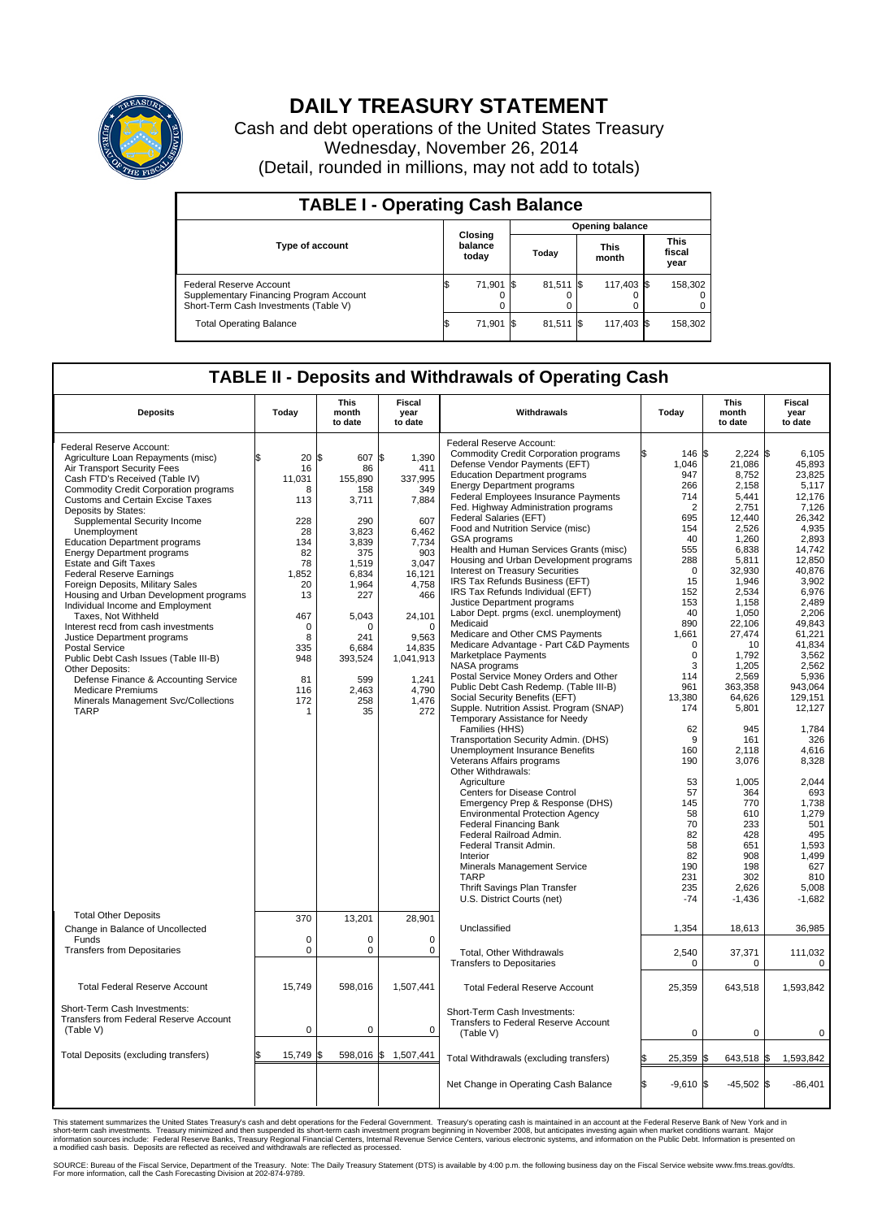

## **DAILY TREASURY STATEMENT**

Cash and debt operations of the United States Treasury Wednesday, November 26, 2014 (Detail, rounded in millions, may not add to totals)

| <b>TABLE I - Operating Cash Balance</b>                                                                     |    |                             |       |                        |  |                      |  |                               |  |  |  |
|-------------------------------------------------------------------------------------------------------------|----|-----------------------------|-------|------------------------|--|----------------------|--|-------------------------------|--|--|--|
|                                                                                                             |    |                             |       | <b>Opening balance</b> |  |                      |  |                               |  |  |  |
| <b>Type of account</b>                                                                                      |    | Closing<br>balance<br>today | Today |                        |  | <b>This</b><br>month |  | <b>This</b><br>fiscal<br>year |  |  |  |
| Federal Reserve Account<br>Supplementary Financing Program Account<br>Short-Term Cash Investments (Table V) |    | 71,901 \$                   |       | $81,511$ \$            |  | 117,403 \$           |  | 158,302                       |  |  |  |
| <b>Total Operating Balance</b>                                                                              | ıъ | 71,901 \$                   |       | $81,511$ \$            |  | 117,403 \$           |  | 158,302                       |  |  |  |

## **TABLE II - Deposits and Withdrawals of Operating Cash**

| <b>Deposits</b>                              | Today                      | This<br>month<br>to date | Fiscal<br>year<br>to date | Withdrawals                                                              | Today             | This<br>month<br>to date | Fiscal<br>year<br>to date |
|----------------------------------------------|----------------------------|--------------------------|---------------------------|--------------------------------------------------------------------------|-------------------|--------------------------|---------------------------|
| Federal Reserve Account:                     |                            |                          |                           | Federal Reserve Account:                                                 |                   |                          |                           |
| Agriculture Loan Repayments (misc)           | \$<br>20                   | ls.<br>607 \$            | 1,390                     | Commodity Credit Corporation programs                                    | 146<br>l\$        | \$<br>2,224              | l\$<br>6,105              |
| Air Transport Security Fees                  | 16                         | 86                       | 411                       | Defense Vendor Payments (EFT)                                            | 1,046             | 21,086                   | 45,893                    |
| Cash FTD's Received (Table IV)               | 11,031                     | 155,890                  | 337,995                   | <b>Education Department programs</b>                                     | 947               | 8,752                    | 23.825                    |
| <b>Commodity Credit Corporation programs</b> | 8                          | 158                      | 349                       | <b>Energy Department programs</b>                                        | 266               | 2,158                    | 5,117                     |
| Customs and Certain Excise Taxes             | 113                        | 3,711                    | 7,884                     | Federal Employees Insurance Payments                                     | 714               | 5.441                    | 12,176                    |
| Deposits by States:                          |                            |                          |                           | Fed. Highway Administration programs                                     | 2                 | 2,751                    | 7,126                     |
| Supplemental Security Income                 | 228                        | 290                      | 607                       | <b>Federal Salaries (EFT)</b>                                            | 695               | 12,440                   | 26,342                    |
| Unemployment                                 | 28                         | 3,823                    | 6,462                     | Food and Nutrition Service (misc)                                        | 154               | 2,526                    | 4,935                     |
| <b>Education Department programs</b>         | 134                        | 3,839                    | 7,734                     | GSA programs                                                             | 40                | 1,260                    | 2,893                     |
| <b>Energy Department programs</b>            | 82                         | 375                      | 903                       | Health and Human Services Grants (misc)                                  | 555               | 6.838                    | 14.742                    |
| <b>Estate and Gift Taxes</b>                 | 78                         | 1,519                    | 3,047                     | Housing and Urban Development programs                                   | 288               | 5,811                    | 12,850                    |
| <b>Federal Reserve Earnings</b>              | 1,852                      | 6,834                    | 16,121                    | Interest on Treasury Securities                                          | $\mathbf 0$       | 32,930                   | 40,876                    |
| Foreign Deposits, Military Sales             | 20                         | 1,964                    | 4,758                     | IRS Tax Refunds Business (EFT)                                           | 15                | 1.946                    | 3.902                     |
| Housing and Urban Development programs       | 13                         | 227                      | 466                       | IRS Tax Refunds Individual (EFT)                                         | 152               | 2,534                    | 6,976                     |
| Individual Income and Employment             |                            |                          |                           | Justice Department programs                                              | 153               | 1,158                    | 2.489                     |
| Taxes. Not Withheld                          | 467                        | 5.043                    | 24,101                    | Labor Dept. prgms (excl. unemployment)                                   | 40                | 1,050                    | 2,206                     |
| Interest recd from cash investments          | $\Omega$                   | $\Omega$                 | $\Omega$                  | Medicaid                                                                 | 890               | 22,106                   | 49,843                    |
| Justice Department programs                  | 8                          | 241                      | 9,563                     | Medicare and Other CMS Payments                                          | 1,661             | 27,474                   | 61,221                    |
| <b>Postal Service</b>                        | 335                        | 6,684                    | 14,835                    | Medicare Advantage - Part C&D Payments                                   | 0                 | 10                       | 41.834                    |
| Public Debt Cash Issues (Table III-B)        | 948                        | 393,524                  | 1,041,913                 | Marketplace Payments                                                     | 0                 | 1,792                    | 3,562                     |
| Other Deposits:                              |                            |                          |                           | <b>NASA</b> programs                                                     | 3<br>114          | 1,205<br>2,569           | 2.562<br>5,936            |
| Defense Finance & Accounting Service         | 81                         | 599                      | 1,241                     | Postal Service Money Orders and Other                                    | 961               | 363,358                  | 943.064                   |
| <b>Medicare Premiums</b>                     | 116                        | 2,463                    | 4,790                     | Public Debt Cash Redemp. (Table III-B)<br>Social Security Benefits (EFT) | 13,380            | 64,626                   | 129,151                   |
| Minerals Management Svc/Collections          | 172                        | 258                      | 1,476                     | Supple. Nutrition Assist. Program (SNAP)                                 | 174               | 5,801                    | 12,127                    |
| <b>TARP</b>                                  | 1                          | 35                       | 272                       | Temporary Assistance for Needy                                           |                   |                          |                           |
|                                              |                            |                          |                           | Families (HHS)                                                           | 62                | 945                      | 1,784                     |
|                                              |                            |                          |                           | Transportation Security Admin. (DHS)                                     | 9                 | 161                      | 326                       |
|                                              |                            |                          |                           | Unemployment Insurance Benefits                                          | 160               | 2.118                    | 4.616                     |
|                                              |                            |                          |                           | Veterans Affairs programs                                                | 190               | 3,076                    | 8,328                     |
|                                              |                            |                          |                           | Other Withdrawals:                                                       |                   |                          |                           |
|                                              |                            |                          |                           | Agriculture                                                              | 53                | 1,005                    | 2,044                     |
|                                              |                            |                          |                           | Centers for Disease Control                                              | 57                | 364                      | 693                       |
|                                              |                            |                          |                           | Emergency Prep & Response (DHS)                                          | 145               | 770                      | 1,738                     |
|                                              |                            |                          |                           | <b>Environmental Protection Agency</b>                                   | 58                | 610                      | 1,279                     |
|                                              |                            |                          |                           | <b>Federal Financing Bank</b>                                            | 70                | 233                      | 501                       |
|                                              |                            |                          |                           | Federal Railroad Admin.                                                  | 82                | 428                      | 495                       |
|                                              |                            |                          |                           | Federal Transit Admin.                                                   | 58                | 651                      | 1,593                     |
|                                              |                            |                          |                           | Interior                                                                 | 82                | 908                      | 1.499                     |
|                                              |                            |                          |                           | Minerals Management Service                                              | 190               | 198                      | 627                       |
|                                              |                            |                          |                           | <b>TARP</b>                                                              | 231               | 302                      | 810                       |
|                                              |                            |                          |                           | Thrift Savings Plan Transfer                                             | 235               | 2,626                    | 5.008                     |
|                                              |                            |                          |                           | U.S. District Courts (net)                                               | $-74$             | $-1,436$                 | $-1,682$                  |
| <b>Total Other Deposits</b>                  |                            |                          |                           |                                                                          |                   |                          |                           |
|                                              | 370                        | 13,201                   | 28,901                    |                                                                          |                   |                          |                           |
| Change in Balance of Uncollected             |                            |                          |                           | Unclassified                                                             | 1,354             | 18,613                   | 36,985                    |
| Funds                                        | $\mathbf 0$<br>$\mathbf 0$ | 0                        | $\mathbf 0$               |                                                                          |                   |                          |                           |
| <b>Transfers from Depositaries</b>           |                            | $\mathbf 0$              | $\mathbf 0$               | Total, Other Withdrawals                                                 | 2,540             | 37,371                   | 111,032                   |
|                                              |                            |                          |                           | <b>Transfers to Depositaries</b>                                         | 0                 | $\Omega$                 | $\Omega$                  |
|                                              |                            |                          |                           |                                                                          |                   |                          |                           |
| <b>Total Federal Reserve Account</b>         | 15,749                     | 598,016                  | 1,507,441                 | <b>Total Federal Reserve Account</b>                                     | 25,359            | 643,518                  | 1,593,842                 |
|                                              |                            |                          |                           |                                                                          |                   |                          |                           |
| Short-Term Cash Investments:                 |                            |                          |                           | Short-Term Cash Investments:                                             |                   |                          |                           |
| Transfers from Federal Reserve Account       |                            |                          |                           | <b>Transfers to Federal Reserve Account</b>                              |                   |                          |                           |
| (Table V)                                    | $\mathbf 0$                | $\mathbf 0$              | $\mathbf 0$               | (Table V)                                                                | $\pmb{0}$         | $\mathbf 0$              | $\mathbf 0$               |
|                                              |                            |                          |                           |                                                                          |                   |                          |                           |
| Total Deposits (excluding transfers)         | 15,749                     | 1\$                      | 598,016 \$ 1,507,441      | Total Withdrawals (excluding transfers)                                  | 25,359            | 643,518<br>\$            | 1,593,842<br>l\$          |
|                                              |                            |                          |                           |                                                                          |                   |                          |                           |
|                                              |                            |                          |                           |                                                                          |                   |                          |                           |
|                                              |                            |                          |                           | Net Change in Operating Cash Balance                                     | ß.<br>$-9,610$ \$ | $-45,502$ \$             | $-86,401$                 |
|                                              |                            |                          |                           |                                                                          |                   |                          |                           |

This statement summarizes the United States Treasury's cash and debt operations for the Federal Government. Treasury's operating cash is maintained in an account at the Federal Reserve Bank of New York and in<br>short-term ca

SOURCE: Bureau of the Fiscal Service, Department of the Treasury. Note: The Daily Treasury Statement (DTS) is available by 4:00 p.m. the following business day on the Fiscal Service website www.fms.treas.gov/dts.<br>For more